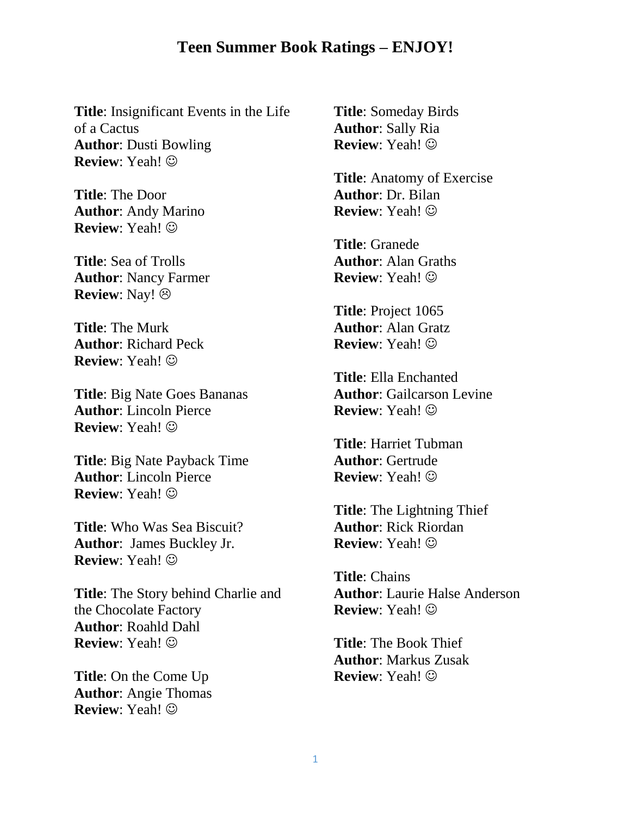## **Teen Summer Book Ratings – ENJOY!**

**Title**: Insignificant Events in the Life of a Cactus **Author**: Dusti Bowling **Review**: Yeah!

**Title**: The Door **Author**: Andy Marino **Review**: Yeah!

**Title**: Sea of Trolls **Author**: Nancy Farmer **Review**: Nay!

**Title**: The Murk **Author**: Richard Peck **Review**: Yeah!

**Title**: Big Nate Goes Bananas **Author**: Lincoln Pierce **Review**: Yeah!

**Title**: Big Nate Payback Time **Author**: Lincoln Pierce **Review**: Yeah!

**Title**: Who Was Sea Biscuit? **Author**: James Buckley Jr. **Review**: Yeah!

**Title**: The Story behind Charlie and the Chocolate Factory **Author**: Roahld Dahl **Review**: Yeah!

**Title**: On the Come Up **Author**: Angie Thomas **Review**: Yeah!

**Title**: Someday Birds **Author**: Sally Ria **Review**: Yeah!

**Title**: Anatomy of Exercise **Author**: Dr. Bilan **Review**: Yeah!

**Title**: Granede **Author**: Alan Graths **Review**: Yeah!

**Title**: Project 1065 **Author**: Alan Gratz **Review**: Yeah!

**Title**: Ella Enchanted **Author**: Gailcarson Levine **Review**: Yeah!

**Title**: Harriet Tubman **Author**: Gertrude **Review**: Yeah!

**Title**: The Lightning Thief **Author**: Rick Riordan **Review**: Yeah!

**Title**: Chains **Author**: Laurie Halse Anderson **Review**: Yeah!

**Title**: The Book Thief **Author**: Markus Zusak **Review**: Yeah!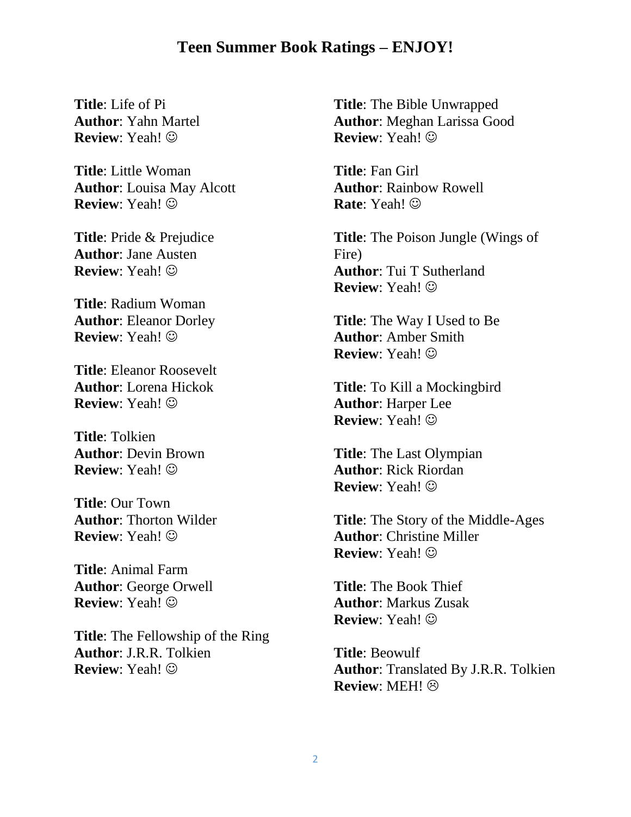## **Teen Summer Book Ratings – ENJOY!**

**Title**: Life of Pi **Author**: Yahn Martel **Review**: Yeah!

**Title**: Little Woman **Author**: Louisa May Alcott **Review**: Yeah!

**Title**: Pride & Prejudice **Author**: Jane Austen **Review**: Yeah!

**Title**: Radium Woman **Author**: Eleanor Dorley **Review**: Yeah!

**Title**: Eleanor Roosevelt **Author**: Lorena Hickok **Review**: Yeah!

**Title**: Tolkien **Author**: Devin Brown **Review**: Yeah!

**Title**: Our Town **Author**: Thorton Wilder **Review**: Yeah!

**Title**: Animal Farm **Author**: George Orwell **Review**: Yeah!

**Title**: The Fellowship of the Ring **Author**: J.R.R. Tolkien **Review**: Yeah!

**Title**: The Bible Unwrapped **Author**: Meghan Larissa Good **Review**: Yeah!

**Title**: Fan Girl **Author**: Rainbow Rowell **Rate**: Yeah!

**Title**: The Poison Jungle (Wings of Fire) **Author**: Tui T Sutherland **Review**: Yeah!

**Title**: The Way I Used to Be **Author**: Amber Smith **Review**: Yeah!

**Title**: To Kill a Mockingbird **Author**: Harper Lee **Review**: Yeah!

**Title**: The Last Olympian **Author**: Rick Riordan **Review**: Yeah!

**Title**: The Story of the Middle-Ages **Author**: Christine Miller **Review**: Yeah!

**Title**: The Book Thief **Author**: Markus Zusak **Review**: Yeah!

**Title**: Beowulf **Author**: Translated By J.R.R. Tolkien **Review**: MEH!